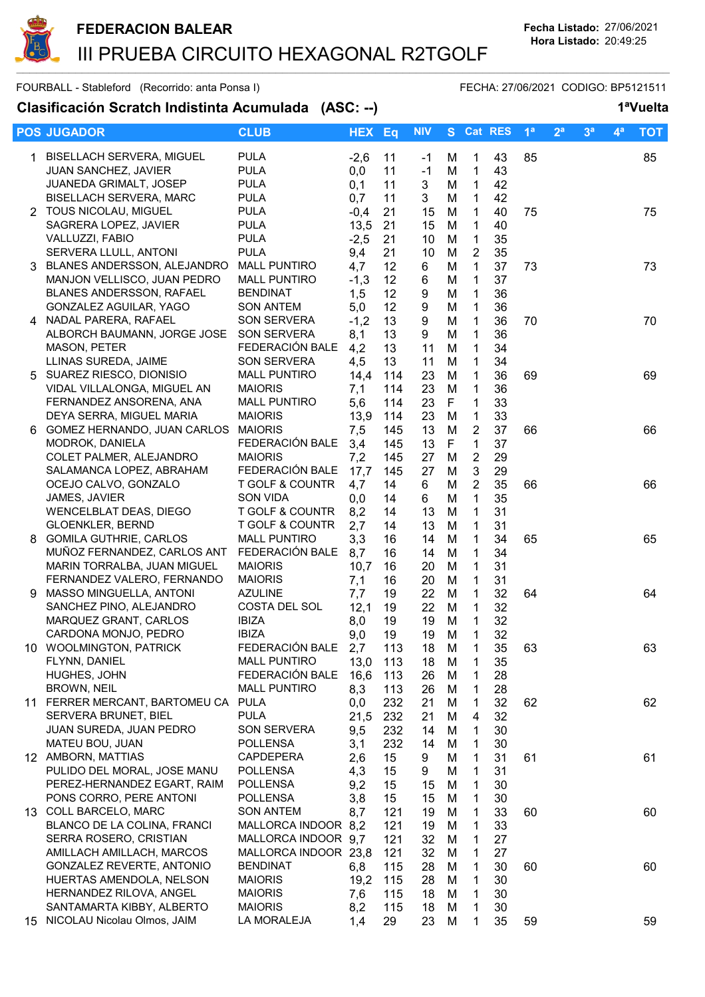

|    | <b>POS JUGADOR</b>                                        | <b>CLUB</b>                      | <b>HEX</b> | Eq       | <b>NIV</b> |        | S Cat RES      |          | 1 <sup>a</sup> | 2 <sup>a</sup> | 3 <sup>a</sup> | $\mathbf{4}^{\mathsf{a}}$ | <b>TOT</b> |
|----|-----------------------------------------------------------|----------------------------------|------------|----------|------------|--------|----------------|----------|----------------|----------------|----------------|---------------------------|------------|
|    | 1 BISELLACH SERVERA, MIGUEL                               | <b>PULA</b>                      | $-2,6$     | 11       | -1         | М      | 1              | 43       | 85             |                |                |                           | 85         |
|    | JUAN SANCHEZ, JAVIER                                      | <b>PULA</b>                      | 0,0        | 11       | $-1$       | M      | $\mathbf{1}$   | 43       |                |                |                |                           |            |
|    | <b>JUANEDA GRIMALT, JOSEP</b>                             | <b>PULA</b>                      | 0,1        | 11       | 3          | M      | 1              | 42       |                |                |                |                           |            |
|    | <b>BISELLACH SERVERA, MARC</b>                            | <b>PULA</b>                      | 0,7        | 11       | 3          | М      | 1              | 42       |                |                |                |                           |            |
|    | 2 TOUS NICOLAU, MIGUEL                                    | <b>PULA</b>                      | $-0,4$     | 21       | 15         | M      | 1              | 40       | 75             |                |                |                           | 75         |
|    | SAGRERA LOPEZ, JAVIER                                     | <b>PULA</b>                      | 13,5       | 21       | 15         | M      | 1              | 40       |                |                |                |                           |            |
|    | VALLUZZI, FABIO                                           | <b>PULA</b>                      | $-2,5$     | 21       | 10         | M      | 1              | 35       |                |                |                |                           |            |
|    | SERVERA LLULL, ANTONI                                     | <b>PULA</b>                      | 9,4        | 21       | 10         | M      | 2              | 35       |                |                |                |                           |            |
|    | 3 BLANES ANDERSSON, ALEJANDRO                             | <b>MALL PUNTIRO</b>              | 4,7        | 12       | 6          | M      | $\mathbf 1$    | 37       | 73             |                |                |                           | 73         |
|    | MANJON VELLISCO, JUAN PEDRO                               | <b>MALL PUNTIRO</b>              | $-1,3$     | 12       | 6          | M      | 1              | 37       |                |                |                |                           |            |
|    | <b>BLANES ANDERSSON, RAFAEL</b>                           | <b>BENDINAT</b>                  | 1,5        | 12       | 9          | M      | 1              | 36       |                |                |                |                           |            |
|    | GONZALEZ AGUILAR, YAGO                                    | <b>SON ANTEM</b>                 | 5,0        | 12       | 9          | M      | $\mathbf{1}$   | 36       |                |                |                |                           |            |
|    | 4 NADAL PARERA, RAFAEL                                    | <b>SON SERVERA</b>               | $-1,2$     | 13       | 9          | M      | 1              | 36       | 70             |                |                |                           | 70         |
|    | ALBORCH BAUMANN, JORGE JOSE                               | <b>SON SERVERA</b>               | 8,1        | 13       | 9          | M      | 1              | 36       |                |                |                |                           |            |
|    | <b>MASON, PETER</b>                                       | FEDERACIÓN BALE                  | 4,2        | 13       | 11         | M      | $\mathbf 1$    | 34       |                |                |                |                           |            |
|    | LLINAS SUREDA, JAIME                                      | SON SERVERA                      | 4,5        | 13       | 11         | M      | $\mathbf 1$    | 34       |                |                |                |                           |            |
|    | 5 SUAREZ RIESCO, DIONISIO                                 | <b>MALL PUNTIRO</b>              | 14,4       | 114      | 23         | M      | 1              | 36       | 69             |                |                |                           | 69         |
|    | VIDAL VILLALONGA, MIGUEL AN                               | <b>MAIORIS</b>                   | 7,1        | 114      | 23         | M      | 1              | 36       |                |                |                |                           |            |
|    | FERNANDEZ ANSORENA, ANA                                   | <b>MALL PUNTIRO</b>              | 5,6        | 114      | 23         | F      | 1              | 33       |                |                |                |                           |            |
|    | DEYA SERRA, MIGUEL MARIA                                  | <b>MAIORIS</b>                   | 13,9       | 114      | 23         | M      | 1              | 33       |                |                |                |                           |            |
| 6  | GOMEZ HERNANDO, JUAN CARLOS MAIORIS                       |                                  | 7,5        | 145      | 13         | M      | 2              | 37       | 66             |                |                |                           | 66         |
|    | MODROK, DANIELA                                           | FEDERACIÓN BALE                  | 3,4        | 145      | 13         | F      | $\mathbf{1}$   | 37       |                |                |                |                           |            |
|    | COLET PALMER, ALEJANDRO                                   | <b>MAIORIS</b>                   | 7,2        | 145      | 27         | M      | $\overline{2}$ | 29       |                |                |                |                           |            |
|    | SALAMANCA LOPEZ, ABRAHAM                                  | FEDERACIÓN BALE                  | 17,7       | 145      | 27         | M      | 3              | 29       |                |                |                |                           |            |
|    | OCEJO CALVO, GONZALO                                      | T GOLF & COUNTR                  | 4,7        | 14       | 6          | M      | $\overline{2}$ | 35       | 66             |                |                |                           | 66         |
|    | JAMES, JAVIER                                             | SON VIDA                         | 0,0        | 14       | 6          | M      | 1              | 35       |                |                |                |                           |            |
|    | <b>WENCELBLAT DEAS, DIEGO</b>                             | T GOLF & COUNTR                  | 8,2        | 14       | 13         | M      | 1              | 31       |                |                |                |                           |            |
|    | <b>GLOENKLER, BERND</b>                                   | T GOLF & COUNTR                  | 2,7        | 14       | 13         | M      | $\mathbf 1$    | 31       |                |                |                |                           |            |
| 8  | <b>GOMILA GUTHRIE, CARLOS</b>                             | <b>MALL PUNTIRO</b>              | 3,3        | 16       | 14         | м      | 1              | 34       | 65             |                |                |                           | 65         |
|    | MUÑOZ FERNANDEZ, CARLOS ANT                               | FEDERACIÓN BALE                  | 8,7        | 16       | 14         | M      | 1              | 34       |                |                |                |                           |            |
|    | MARIN TORRALBA, JUAN MIGUEL<br>FERNANDEZ VALERO, FERNANDO | <b>MAIORIS</b>                   | 10,7       | 16       | 20         | M      | 1              | 31       |                |                |                |                           |            |
| 9. | MASSO MINGUELLA, ANTONI                                   | <b>MAIORIS</b><br><b>AZULINE</b> | 7,1<br>7,7 | 16<br>19 | 20         | M<br>M | 1<br>1         | 31<br>32 |                |                |                |                           |            |
|    | SANCHEZ PINO, ALEJANDRO                                   | COSTA DEL SOL                    | 12,1       | 19       | 22<br>22   | M      | $\mathbf{1}$   | 32       | 64             |                |                |                           | 64         |
|    | MARQUEZ GRANT, CARLOS                                     | <b>IBIZA</b>                     | 8,0        | 19       | 19         | M      | $\mathbf{1}$   | 32       |                |                |                |                           |            |
|    | CARDONA MONJO, PEDRO                                      | <b>IBIZA</b>                     | 9,0        | 19       | 19         | M      | 1              | 32       |                |                |                |                           |            |
|    | 10 WOOLMINGTON, PATRICK                                   | FEDERACIÓN BALE                  | 2,7        | 113      | 18         | M      | $\mathbf{1}$   | 35       | 63             |                |                |                           | 63         |
|    | FLYNN, DANIEL                                             | <b>MALL PUNTIRO</b>              | 13,0       | 113      | 18         | M      | 1              | 35       |                |                |                |                           |            |
|    | HUGHES, JOHN                                              | FEDERACIÓN BALE                  | 16,6       | 113      | 26         | M      | 1              | 28       |                |                |                |                           |            |
|    | BROWN, NEIL                                               | <b>MALL PUNTIRO</b>              | 8,3        | 113      | 26         | M      | 1              | 28       |                |                |                |                           |            |
|    | 11 FERRER MERCANT, BARTOMEU CA PULA                       |                                  | 0,0        | 232      | 21         | м      | 1              | 32       | 62             |                |                |                           | 62         |
|    | SERVERA BRUNET, BIEL                                      | <b>PULA</b>                      | 21,5       | 232      | 21         | M      | 4              | 32       |                |                |                |                           |            |
|    | JUAN SUREDA, JUAN PEDRO                                   | <b>SON SERVERA</b>               | 9,5        | 232      | 14         | M      | 1              | 30       |                |                |                |                           |            |
|    | MATEU BOU, JUAN                                           | <b>POLLENSA</b>                  | 3,1        | 232      | 14         | M      | 1              | 30       |                |                |                |                           |            |
|    | 12 AMBORN, MATTIAS                                        | <b>CAPDEPERA</b>                 | 2,6        | 15       | 9          | M      | 1              | 31       | 61             |                |                |                           | 61         |
|    | PULIDO DEL MORAL, JOSE MANU                               | <b>POLLENSA</b>                  | 4,3        | 15       | 9          | M      | 1              | 31       |                |                |                |                           |            |
|    | PEREZ-HERNANDEZ EGART, RAIM                               | <b>POLLENSA</b>                  | 9,2        | 15       | 15         | M      | 1              | 30       |                |                |                |                           |            |
|    | PONS CORRO, PERE ANTONI                                   | <b>POLLENSA</b>                  | 3,8        | 15       | 15         | M      | 1              | 30       |                |                |                |                           |            |
|    | 13 COLL BARCELO, MARC                                     | <b>SON ANTEM</b>                 | 8,7        | 121      | 19         | M      | 1              | 33       | 60             |                |                |                           | 60         |
|    | BLANCO DE LA COLINA, FRANCI                               | MALLORCA INDOOR 8,2              |            | 121      | 19         | M      | 1              | 33       |                |                |                |                           |            |
|    | SERRA ROSERO, CRISTIAN                                    | MALLORCA INDOOR 9,7              |            | 121      | 32         | M      | 1              | 27       |                |                |                |                           |            |
|    | AMILLACH AMILLACH, MARCOS                                 | MALLORCA INDOOR 23,8             |            | 121      | 32         | M      | 1              | 27       |                |                |                |                           |            |
|    | GONZALEZ REVERTE, ANTONIO                                 | <b>BENDINAT</b>                  | 6,8        | 115      | 28         | M      | 1              | 30       | 60             |                |                |                           | 60         |
|    | HUERTAS AMENDOLA, NELSON                                  | <b>MAIORIS</b>                   | 19,2       | 115      | 28         | M      | 1              | 30       |                |                |                |                           |            |
|    | HERNANDEZ RILOVA, ANGEL                                   | <b>MAIORIS</b>                   | 7,6        | 115      | 18         | M      | 1              | 30       |                |                |                |                           |            |
|    | SANTAMARTA KIBBY, ALBERTO                                 | <b>MAIORIS</b>                   | 8,2        | 115      | 18         | M      | 1              | 30       |                |                |                |                           |            |
| 15 | NICOLAU Nicolau Olmos, JAIM                               | LA MORALEJA                      | 1,4        | 29       | 23         | M      | 1              | 35       | 59             |                |                |                           | 59         |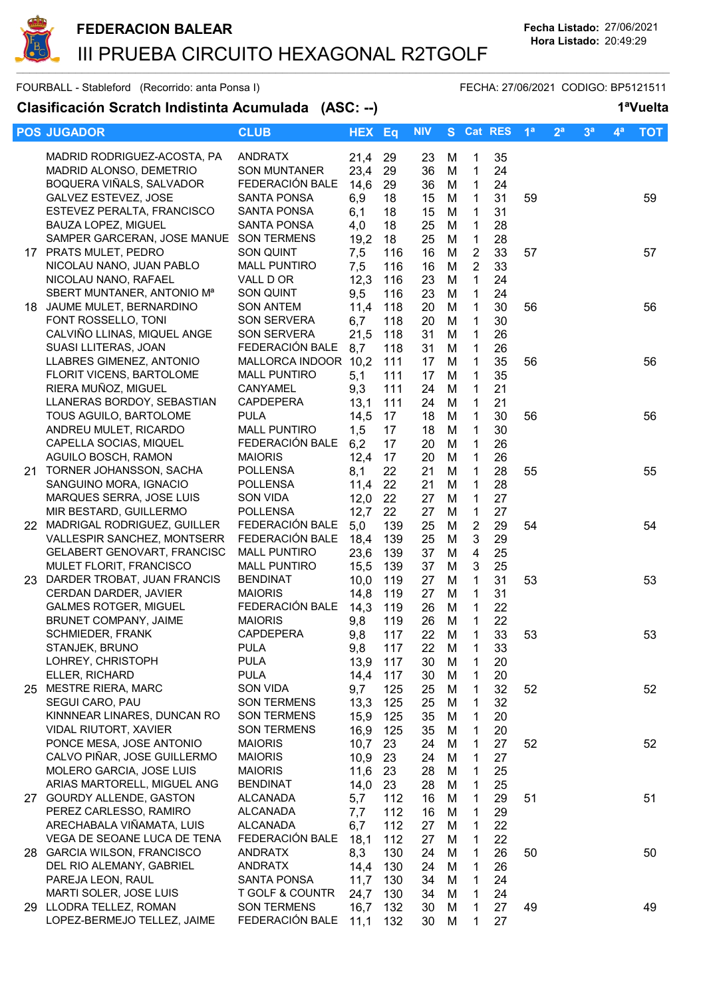

|     | <b>POS JUGADOR</b>                                       | <b>CLUB</b>                        | <b>HEX Eq</b> |            | <b>NIV</b> | S.     | <b>Cat RES</b>             |          | 1 <sup>a</sup> | 2 <sup>a</sup> | 3 <sup>a</sup> | $4^a$ | <b>TOT</b> |
|-----|----------------------------------------------------------|------------------------------------|---------------|------------|------------|--------|----------------------------|----------|----------------|----------------|----------------|-------|------------|
|     | MADRID RODRIGUEZ-ACOSTA, PA                              | <b>ANDRATX</b>                     | 21,4          | 29         | 23         | M      | 1                          | 35       |                |                |                |       |            |
|     | MADRID ALONSO, DEMETRIO                                  | <b>SON MUNTANER</b>                | 23,4          | 29         | 36         | M      | $\mathbf{1}$               | 24       |                |                |                |       |            |
|     | BOQUERA VIÑALS, SALVADOR                                 | FEDERACIÓN BALE                    | 14,6          | 29         | 36         | M      | $\mathbf{1}$               | 24       |                |                |                |       |            |
|     | GALVEZ ESTEVEZ, JOSE                                     | <b>SANTA PONSA</b>                 | 6,9           | 18         | 15         | M      | $\mathbf{1}$               | 31       | 59             |                |                |       | 59         |
|     | ESTEVEZ PERALTA, FRANCISCO                               | <b>SANTA PONSA</b>                 | 6,1           | 18         | 15         | M      | $\mathbf{1}$               | 31       |                |                |                |       |            |
|     | BAUZA LOPEZ, MIGUEL                                      | SANTA PONSA                        | 4,0           | 18         | 25         | M      | $\mathbf{1}$               | 28       |                |                |                |       |            |
|     | SAMPER GARCERAN, JOSE MANUE SON TERMENS                  |                                    | 19,2          | 18         | 25         | M      | $\mathbf{1}$               | 28       |                |                |                |       |            |
|     | 17 PRATS MULET, PEDRO                                    | <b>SON QUINT</b>                   | 7,5           | 116        | 16         | M      | $\overline{2}$             | 33       | 57             |                |                |       | 57         |
|     | NICOLAU NANO, JUAN PABLO                                 | <b>MALL PUNTIRO</b>                | 7,5           | 116        | 16         | M      | $\overline{2}$             | 33       |                |                |                |       |            |
|     | NICOLAU NANO, RAFAEL                                     | VALL D OR                          | 12,3          | 116        | 23         | M      | $\mathbf{1}$               | 24       |                |                |                |       |            |
|     | SBERT MUNTANER, ANTONIO M <sup>a</sup>                   | SON QUINT                          | 9,5           | 116        | 23         | M      | $\mathbf{1}$               | 24       |                |                |                |       |            |
|     | 18 JAUME MULET, BERNARDINO                               | <b>SON ANTEM</b>                   | 11,4          | 118        | 20         | M      | $\mathbf{1}$               | 30       | 56             |                |                |       | 56         |
|     | FONT ROSSELLO, TONI                                      | <b>SON SERVERA</b>                 | 6,7           | 118        | 20         | M      | $\mathbf{1}$               | 30       |                |                |                |       |            |
|     | CALVIÑO LLINAS, MIQUEL ANGE                              | <b>SON SERVERA</b>                 | 21,5          | 118        | 31         | M      | $\mathbf{1}$               | 26       |                |                |                |       |            |
|     | SUASI LLITERAS, JOAN                                     | FEDERACIÓN BALE                    | 8,7           | 118        | 31         | M      | $\mathbf{1}$               | 26       |                |                |                |       |            |
|     | LLABRES GIMENEZ, ANTONIO                                 | MALLORCA INDOOR 10,2               |               | 111        | 17         | M      | $\mathbf{1}$               | 35       | 56             |                |                |       | 56         |
|     | FLORIT VICENS, BARTOLOME                                 | <b>MALL PUNTIRO</b>                | 5,1           | 111        | 17         | M      | $\mathbf{1}$               | 35       |                |                |                |       |            |
|     | RIERA MUÑOZ, MIGUEL                                      | CANYAMEL                           | 9,3           | 111        | 24         | M      | $\mathbf{1}$               | 21       |                |                |                |       |            |
|     | LLANERAS BORDOY, SEBASTIAN                               | <b>CAPDEPERA</b>                   | 13,1          | 111        | 24         | M      | $\mathbf{1}$               | 21       |                |                |                |       |            |
|     | TOUS AGUILO, BARTOLOME                                   | <b>PULA</b>                        | 14,5          | 17         | 18         | M      | $\mathbf{1}$               | 30       | 56             |                |                |       | 56         |
|     | ANDREU MULET, RICARDO                                    | <b>MALL PUNTIRO</b>                | 1,5           | 17         | 18         | M      | $\mathbf{1}$               | 30       |                |                |                |       |            |
|     | CAPELLA SOCIAS, MIQUEL                                   | FEDERACIÓN BALE                    | 6,2           | 17         | 20         | M      | $\mathbf{1}$               | 26       |                |                |                |       |            |
|     | AGUILO BOSCH, RAMON<br>TORNER JOHANSSON, SACHA           | <b>MAIORIS</b><br><b>POLLENSA</b>  | 12,4          | 17<br>22   | 20         | M      | $\mathbf{1}$               | 26       |                |                |                |       |            |
| 21. | SANGUINO MORA, IGNACIO                                   | <b>POLLENSA</b>                    | 8,1<br>11,4   | 22         | 21<br>21   | M<br>M | $\mathbf 1$<br>$\mathbf 1$ | 28<br>28 | 55             |                |                |       | 55         |
|     | MARQUES SERRA, JOSE LUIS                                 | <b>SON VIDA</b>                    | 12,0          | 22         | 27         | M      | 1                          | 27       |                |                |                |       |            |
|     | MIR BESTARD, GUILLERMO                                   | <b>POLLENSA</b>                    | 12,7          | 22         | 27         | M      | $\mathbf{1}$               | 27       |                |                |                |       |            |
|     | 22 MADRIGAL RODRIGUEZ, GUILLER                           | FEDERACIÓN BALE                    | 5,0           | 139        | 25         | M      | $\overline{2}$             | 29       | 54             |                |                |       | 54         |
|     | VALLESPIR SANCHEZ, MONTSERR                              | FEDERACIÓN BALE                    | 18,4          | 139        | 25         | M      | $\mathbf{3}$               | 29       |                |                |                |       |            |
|     | <b>GELABERT GENOVART, FRANCISC</b>                       | <b>MALL PUNTIRO</b>                | 23,6          | 139        | 37         | M      | $\overline{4}$             | 25       |                |                |                |       |            |
|     | MULET FLORIT, FRANCISCO                                  | <b>MALL PUNTIRO</b>                | 15,5          | 139        | 37         | M      | 3                          | 25       |                |                |                |       |            |
|     | 23 DARDER TROBAT, JUAN FRANCIS                           | <b>BENDINAT</b>                    | 10,0          | 119        | 27         | M      | $\mathbf{1}$               | 31       | 53             |                |                |       | 53         |
|     | CERDAN DARDER, JAVIER                                    | <b>MAIORIS</b>                     | 14,8          | 119        | 27         | M      | $\mathbf{1}$               | 31       |                |                |                |       |            |
|     | <b>GALMES ROTGER, MIGUEL</b>                             | FEDERACIÓN BALE                    | 14,3          | 119        | 26         | M      | $\mathbf{1}$               | 22       |                |                |                |       |            |
|     | BRUNET COMPANY, JAIME                                    | <b>MAIORIS</b>                     | 9,8           | 119        | 26         | M      | $\mathbf{1}$               | 22       |                |                |                |       |            |
|     | <b>SCHMIEDER, FRANK</b>                                  | CAPDEPERA                          | 9,8           | 117        | 22         | M      | 1                          | 33       | 53             |                |                |       | 53         |
|     | STANJEK, BRUNO                                           | <b>PULA</b>                        | 9,8           | 117        | 22         | M      | 1                          | 33       |                |                |                |       |            |
|     | LOHREY, CHRISTOPH                                        | <b>PULA</b>                        | 13,9          | 117        | 30         | M      | 1                          | 20       |                |                |                |       |            |
|     | ELLER, RICHARD                                           | <b>PULA</b>                        | 14,4          | 117        | 30         | M      | 1                          | 20       |                |                |                |       |            |
|     | 25 MESTRE RIERA, MARC                                    | SON VIDA                           | 9,7           | 125        | 25         | M      | 1                          | 32       | 52             |                |                |       | 52         |
|     | SEGUI CARO, PAU                                          | <b>SON TERMENS</b>                 | 13,3          | 125        | 25         | M      | 1                          | 32       |                |                |                |       |            |
|     | KINNNEAR LINARES, DUNCAN RO                              | <b>SON TERMENS</b>                 | 15,9          | 125        | 35         | M      | 1                          | 20       |                |                |                |       |            |
|     | VIDAL RIUTORT, XAVIER                                    | <b>SON TERMENS</b>                 | 16,9          | 125        | 35         | M      | 1                          | 20       |                |                |                |       |            |
|     | PONCE MESA, JOSE ANTONIO                                 | <b>MAIORIS</b>                     | 10,7          | 23         | 24         | M      | $\mathbf 1$                | 27       | 52             |                |                |       | 52         |
|     | CALVO PIÑAR, JOSE GUILLERMO                              | <b>MAIORIS</b>                     | 10,9          | 23         | 24         | M      | $\mathbf 1$                | 27       |                |                |                |       |            |
|     | MOLERO GARCIA, JOSE LUIS                                 | <b>MAIORIS</b>                     | 11,6          | 23         | 28         | M      | $\mathbf{1}$               | 25       |                |                |                |       |            |
|     | ARIAS MARTORELL, MIGUEL ANG<br>27 GOURDY ALLENDE, GASTON | <b>BENDINAT</b>                    | 14,0          | 23         | 28         | M      | 1                          | 25       |                |                |                |       |            |
|     | PEREZ CARLESSO, RAMIRO                                   | <b>ALCANADA</b><br><b>ALCANADA</b> | 5,7           | 112<br>112 | 16         | M      | 1<br>1                     | 29<br>29 | 51             |                |                |       | 51         |
|     | ARECHABALA VIÑAMATA, LUIS                                | <b>ALCANADA</b>                    | 7,7<br>6,7    | 112        | 16<br>27   | M<br>М | 1                          | 22       |                |                |                |       |            |
|     | VEGA DE SEOANE LUCA DE TENA                              | FEDERACIÓN BALE                    | 18,1          | 112        | 27         | М      | 1                          | 22       |                |                |                |       |            |
|     | 28 GARCIA WILSON, FRANCISCO                              | <b>ANDRATX</b>                     | 8,3           | 130        | 24         | M      | 1                          | 26       | 50             |                |                |       | 50         |
|     | DEL RIO ALEMANY, GABRIEL                                 | <b>ANDRATX</b>                     | 14,4          | 130        | 24         | M      | 1                          | 26       |                |                |                |       |            |
|     | PAREJA LEON, RAUL                                        | SANTA PONSA                        | 11,7          | 130        | 34         | M      | 1                          | 24       |                |                |                |       |            |
|     | MARTI SOLER, JOSE LUIS                                   | T GOLF & COUNTR                    | 24,7          | 130        | 34         | M      | 1                          | 24       |                |                |                |       |            |
|     | 29 LLODRA TELLEZ, ROMAN                                  | <b>SON TERMENS</b>                 | 16,7          | 132        | 30         | M      | 1                          | 27       | 49             |                |                |       | 49         |
|     | LOPEZ-BERMEJO TELLEZ, JAIME                              | FEDERACIÓN BALE                    | 11,1          | 132        | 30         | M      | 1                          | 27       |                |                |                |       |            |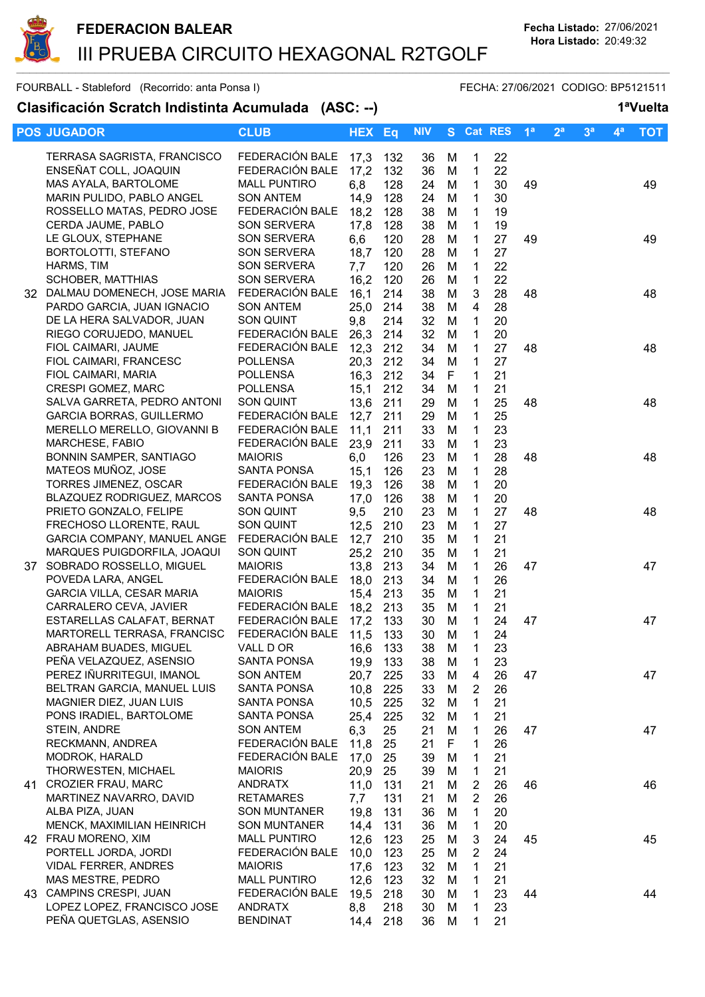

| <b>POS JUGADOR</b>                                                                                                                      | <b>CLUB</b>                                                                                      | <b>HEX</b>                          | Eq                              | <b>NIV</b>                 |                       |                                                                 | S Cat RES                  | 1 <sup>a</sup> | 2 <sup>a</sup> | 3 <sup>a</sup> | $4^a$ | <b>TOT</b> |
|-----------------------------------------------------------------------------------------------------------------------------------------|--------------------------------------------------------------------------------------------------|-------------------------------------|---------------------------------|----------------------------|-----------------------|-----------------------------------------------------------------|----------------------------|----------------|----------------|----------------|-------|------------|
| TERRASA SAGRISTA, FRANCISCO<br>ENSEÑAT COLL, JOAQUIN<br>MAS AYALA, BARTOLOME<br>MARIN PULIDO, PABLO ANGEL<br>ROSSELLO MATAS, PEDRO JOSE | FEDERACIÓN BALE<br>FEDERACIÓN BALE<br><b>MALL PUNTIRO</b><br><b>SON ANTEM</b><br>FEDERACIÓN BALE | 17,3<br>17,2<br>6,8<br>14,9<br>18,2 | 132<br>132<br>128<br>128<br>128 | 36<br>36<br>24<br>24<br>38 | M<br>M<br>M<br>M<br>M | 1<br>$\mathbf 1$<br>$\mathbf{1}$<br>$\mathbf 1$<br>$\mathbf{1}$ | 22<br>22<br>30<br>30<br>19 | 49             |                |                |       | 49         |
| CERDA JAUME, PABLO<br>LE GLOUX, STEPHANE<br>BORTOLOTTI, STEFANO<br>HARMS, TIM                                                           | SON SERVERA<br>SON SERVERA<br>SON SERVERA<br>SON SERVERA                                         | 17,8<br>6,6<br>18,7<br>7,7          | 128<br>120<br>120<br>120        | 38<br>28<br>28<br>26       | M<br>M<br>M<br>M      | $\mathbf 1$<br>1<br>1<br>1                                      | 19<br>27<br>27<br>22       | 49             |                |                |       | 49         |
| SCHOBER, MATTHIAS<br>32 DALMAU DOMENECH, JOSE MARIA FEDERACIÓN BALE<br>PARDO GARCIA, JUAN IGNACIO<br>DE LA HERA SALVADOR, JUAN          | SON SERVERA<br><b>SON ANTEM</b><br>SON QUINT                                                     | 16,2<br>16,1<br>25,0<br>9,8         | 120<br>214<br>214<br>214        | 26<br>38<br>38<br>32       | M<br>M<br>M<br>M      | 1<br>$\mathbf{3}$<br>$\overline{4}$<br>1                        | 22<br>28<br>28<br>20       | 48             |                |                |       | 48         |
| RIEGO CORUJEDO, MANUEL<br>FIOL CAIMARI, JAUME<br>FIOL CAIMARI, FRANCESC                                                                 | FEDERACIÓN BALE<br>FEDERACIÓN BALE<br><b>POLLENSA</b><br><b>POLLENSA</b>                         | 26,3<br>12,3<br>20,3                | 214<br>212<br>212               | 32<br>34<br>34             | M<br>M<br>M           | $\mathbf{1}$<br>1<br>$\mathbf 1$                                | 20<br>27<br>27             | 48             |                |                |       | 48         |
| FIOL CAIMARI, MARIA<br>CRESPI GOMEZ, MARC<br>SALVA GARRETA, PEDRO ANTONI<br><b>GARCIA BORRAS, GUILLERMO</b>                             | POLLENSA<br>SON QUINT<br>FEDERACIÓN BALE                                                         | 16,3<br>15,1<br>13,6<br>12,7        | 212<br>212<br>211<br>211        | 34<br>34<br>29<br>29       | F<br>M<br>M<br>M      | 1<br>1<br>1<br>1                                                | 21<br>21<br>25<br>25       | 48             |                |                |       | 48         |
| MERELLO MERELLO, GIOVANNI B<br>MARCHESE, FABIO<br>BONNIN SAMPER, SANTIAGO<br>MATEOS MUÑOZ, JOSE                                         | FEDERACIÓN BALE<br>FEDERACIÓN BALE<br><b>MAIORIS</b><br><b>SANTA PONSA</b>                       | 11,1<br>23,9<br>6,0<br>15,1         | 211<br>211<br>126<br>126        | 33<br>33<br>23<br>23       | M<br>M<br>M<br>M      | 1<br>1<br>1<br>1                                                | 23<br>23<br>28<br>28       | 48             |                |                |       | 48         |
| TORRES JIMENEZ, OSCAR<br>BLAZQUEZ RODRIGUEZ, MARCOS<br>PRIETO GONZALO, FELIPE<br>FRECHOSO LLORENTE, RAUL                                | FEDERACIÓN BALE<br><b>SANTA PONSA</b><br>SON QUINT<br>SON QUINT                                  | 19,3<br>17,0<br>9,5<br>12,5         | 126<br>126<br>210<br>210        | 38<br>38<br>23<br>23       | M<br>M<br>M<br>M      | 1<br>$\mathbf{1}$<br>$\mathbf{1}$<br>$\mathbf 1$                | 20<br>20<br>27<br>27       | 48             |                |                |       | 48         |
| GARCIA COMPANY, MANUEL ANGE<br>MARQUES PUIGDORFILA, JOAQUI<br>37 SOBRADO ROSSELLO, MIGUEL<br>POVEDA LARA, ANGEL                         | FEDERACIÓN BALE<br>SON QUINT<br><b>MAIORIS</b><br>FEDERACIÓN BALE                                | 12,7<br>25,2<br>13,8<br>18,0        | 210<br>210<br>213<br>213        | 35<br>35<br>34<br>34       | M<br>M<br>M<br>M      | $\mathbf{1}$<br>$\mathbf 1$<br>1<br>1                           | 21<br>21<br>26<br>26       | 47             |                |                |       | 47         |
| <b>GARCIA VILLA, CESAR MARIA</b><br>CARRALERO CEVA, JAVIER<br>ESTARELLAS CALAFAT, BERNAT<br>MARTORELL TERRASA, FRANCISC                 | <b>MAIORIS</b><br>FEDERACIÓN BALE<br>FEDERACIÓN BALE<br>FEDERACIÓN BALE                          | 15,4<br>18,2<br>17,2<br>11,5        | 213<br>213<br>133<br>133        | 35<br>35<br>30<br>30       | M<br>M<br>M<br>M      | 1<br>1<br>$\mathbf 1$<br>1                                      | 21<br>21<br>24<br>24       | 47             |                |                |       | 47         |
| ABRAHAM BUADES, MIGUEL<br>PEÑA VELAZQUEZ, ASENSIO<br>PEREZ IÑURRITEGUI, IMANOL                                                          | VALL D OR<br>SANTA PONSA<br><b>SON ANTEM</b>                                                     | 16,6 133<br>19,9<br>20,7            | 133<br>225                      | 38 M<br>38<br>33           | м<br>M                | $\mathbf 1$<br>1<br>4                                           | 23<br>23<br>26             | 47             |                |                |       | 47         |
| BELTRAN GARCIA, MANUEL LUIS<br>MAGNIER DIEZ, JUAN LUIS<br>PONS IRADIEL, BARTOLOME<br>STEIN, ANDRE                                       | <b>SANTA PONSA</b><br><b>SANTA PONSA</b><br><b>SANTA PONSA</b><br><b>SON ANTEM</b>               | 10,8<br>10,5<br>25,4<br>6,3         | 225<br>225<br>225<br>25         | 33<br>32<br>32<br>21       | M<br>M<br>M<br>M      | 2<br>1<br>1<br>1                                                | 26<br>21<br>21<br>26       | 47             |                |                |       | 47         |
| RECKMANN, ANDREA<br>MODROK, HARALD<br>THORWESTEN, MICHAEL<br>41 CROZIER FRAU, MARC                                                      | FEDERACIÓN BALE<br>FEDERACIÓN BALE<br><b>MAIORIS</b><br><b>ANDRATX</b>                           | 11,8<br>17,0<br>20,9<br>11,0        | 25<br>25<br>25<br>131           | 21<br>39<br>39<br>21       | F<br>M<br>M<br>M      | 1<br>1<br>1<br>2                                                | 26<br>21<br>21<br>26       | 46             |                |                |       | 46         |
| MARTINEZ NAVARRO, DAVID<br>ALBA PIZA, JUAN<br>MENCK, MAXIMILIAN HEINRICH                                                                | <b>RETAMARES</b><br><b>SON MUNTANER</b><br><b>SON MUNTANER</b>                                   | 7,7<br>19,8<br>14,4                 | 131<br>131<br>131               | 21<br>36<br>36             | M<br>M<br>M           | 2<br>1<br>1                                                     | 26<br>20<br>20             |                |                |                |       |            |
| 42 FRAU MORENO, XIM<br>PORTELL JORDA, JORDI<br>VIDAL FERRER, ANDRES<br>MAS MESTRE, PEDRO                                                | <b>MALL PUNTIRO</b><br>FEDERACIÓN BALE<br><b>MAIORIS</b><br><b>MALL PUNTIRO</b>                  | 12,6<br>10,0<br>17,6<br>12,6        | 123<br>123<br>123<br>123        | 25<br>25<br>32<br>32       | M<br>M<br>M<br>M      | 3<br>2<br>1<br>1                                                | 24<br>24<br>21<br>21       | 45             |                |                |       | 45         |
| 43 CAMPINS CRESPI, JUAN<br>LOPEZ LOPEZ, FRANCISCO JOSE<br>PEÑA QUETGLAS, ASENSIO                                                        | FEDERACIÓN BALE<br><b>ANDRATX</b><br><b>BENDINAT</b>                                             | 19,5<br>8,8<br>14,4                 | 218<br>218<br>218               | 30<br>30<br>36             | M<br>M<br>M           | 1<br>1<br>1                                                     | 23<br>23<br>21             | 44             |                |                |       | 44         |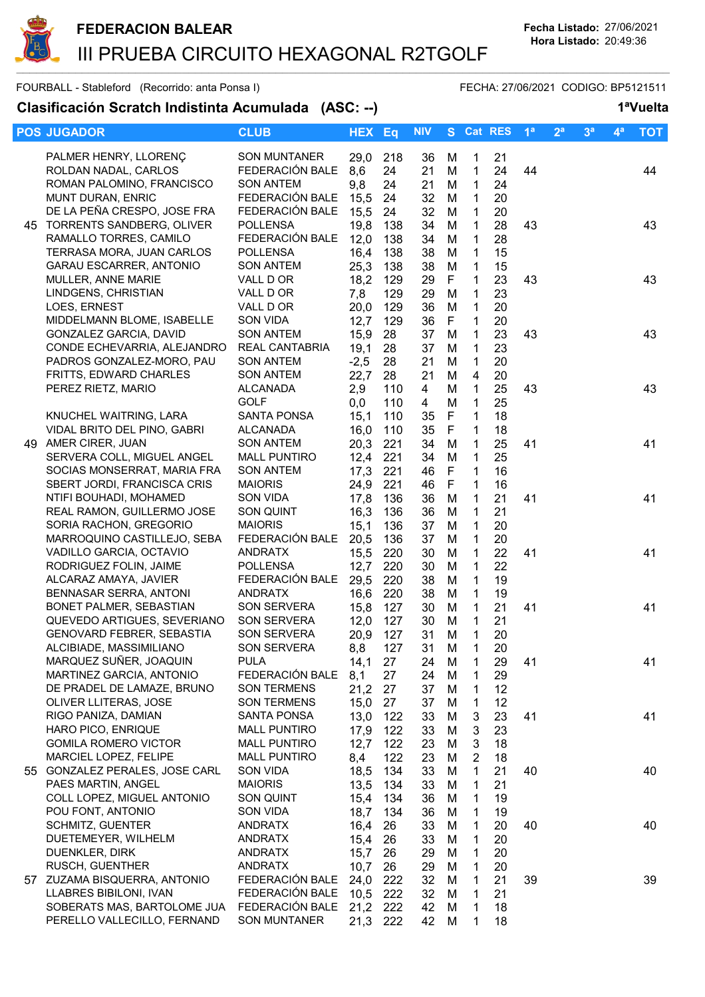

| <b>POS JUGADOR</b>                                              | <b>CLUB</b>                    | <b>HEX</b>   | Eq         | <b>NIV</b> |        |                   | S Cat RES | 1 <sup>a</sup> | 2 <sup>a</sup> | 3 <sup>a</sup> | $\mathbf{4}^{\mathsf{a}}$ | <b>TOT</b> |
|-----------------------------------------------------------------|--------------------------------|--------------|------------|------------|--------|-------------------|-----------|----------------|----------------|----------------|---------------------------|------------|
| PALMER HENRY, LLORENÇ                                           | <b>SON MUNTANER</b>            | 29,0         | 218        | 36         | M      | $\mathbf 1$       | 21        |                |                |                |                           |            |
| ROLDAN NADAL, CARLOS                                            | FEDERACIÓN BALE                | 8,6          | 24         | 21         | M      | 1                 | 24        | 44             |                |                |                           | 44         |
| ROMAN PALOMINO, FRANCISCO                                       | <b>SON ANTEM</b>               | 9,8          | 24         | 21         | M      | $\mathbf{1}$      | 24        |                |                |                |                           |            |
| MUNT DURAN, ENRIC                                               | FEDERACIÓN BALE                | 15,5         | 24         | 32         | M      | $\mathbf 1$       | 20        |                |                |                |                           |            |
| DE LA PEÑA CRESPO, JOSE FRA                                     | FEDERACIÓN BALE                | 15,5         | 24         | 32         | M      | $\mathbf 1$       | 20        |                |                |                |                           |            |
| 45 TORRENTS SANDBERG, OLIVER                                    | <b>POLLENSA</b>                | 19,8         | 138        | 34         | M      | 1                 | 28        | 43             |                |                |                           | 43         |
| RAMALLO TORRES, CAMILO                                          | FEDERACIÓN BALE                | 12,0         | 138        | 34         | M      | 1                 | 28        |                |                |                |                           |            |
| TERRASA MORA, JUAN CARLOS                                       | <b>POLLENSA</b>                | 16,4         | 138        | 38         | M      | 1                 | 15        |                |                |                |                           |            |
| <b>GARAU ESCARRER, ANTONIO</b>                                  | <b>SON ANTEM</b>               | 25,3         | 138        | 38         | M      | 1                 | 15        |                |                |                |                           |            |
| MULLER, ANNE MARIE                                              | VALL D OR                      | 18,2         | 129        | 29         | F      | 1                 | 23        | 43             |                |                |                           | 43         |
| LINDGENS, CHRISTIAN                                             | VALL D OR                      | 7,8          | 129        | 29         | M      | 1                 | 23        |                |                |                |                           |            |
| LOES, ERNEST                                                    | VALL D OR                      | 20,0         | 129        | 36         | M      | $\mathbf{1}$      | 20        |                |                |                |                           |            |
| MIDDELMANN BLOME, ISABELLE                                      | <b>SON VIDA</b>                | 12,7         | 129        | 36         | F      | 1                 | 20        |                |                |                |                           |            |
| GONZALEZ GARCIA, DAVID                                          | <b>SON ANTEM</b>               | 15,9         | 28         | 37         | M      | $\mathbf{1}$      | 23        | 43             |                |                |                           | 43         |
| CONDE ECHEVARRIA, ALEJANDRO                                     | REAL CANTABRIA                 | 19,1         | 28         | 37         | M      | $\mathbf{1}$      | 23        |                |                |                |                           |            |
| PADROS GONZALEZ-MORO, PAU                                       | <b>SON ANTEM</b>               | $-2,5$       | 28         | 21         | M      | $\mathbf{1}$      | 20        |                |                |                |                           |            |
| FRITTS, EDWARD CHARLES                                          | <b>SON ANTEM</b>               | 22,7         | 28         | 21         | M      | $\overline{4}$    | 20        |                |                |                |                           |            |
| PEREZ RIETZ, MARIO                                              | <b>ALCANADA</b><br><b>GOLF</b> | 2,9          | 110<br>110 | 4<br>4     | M<br>M | $\mathbf{1}$<br>1 | 25<br>25  | 43             |                |                |                           | 43         |
| KNUCHEL WAITRING, LARA                                          | <b>SANTA PONSA</b>             | 0,0<br>15,1  | 110        | 35         | F      | 1                 | 18        |                |                |                |                           |            |
| VIDAL BRITO DEL PINO, GABRI                                     | <b>ALCANADA</b>                | 16,0         | 110        | 35         | F      | 1                 | 18        |                |                |                |                           |            |
| 49 AMER CIRER, JUAN                                             | <b>SON ANTEM</b>               | 20,3         | 221        | 34         | M      | 1                 | 25        | 41             |                |                |                           | 41         |
| SERVERA COLL, MIGUEL ANGEL                                      | <b>MALL PUNTIRO</b>            | 12,4         | 221        | 34         | M      | 1                 | 25        |                |                |                |                           |            |
| SOCIAS MONSERRAT, MARIA FRA                                     | <b>SON ANTEM</b>               | 17,3         | 221        | 46         | F      | 1                 | 16        |                |                |                |                           |            |
| SBERT JORDI, FRANCISCA CRIS                                     | <b>MAIORIS</b>                 | 24,9         | 221        | 46         | F      | 1                 | 16        |                |                |                |                           |            |
| NTIFI BOUHADI, MOHAMED                                          | SON VIDA                       | 17,8         | 136        | 36         | M      | 1                 | 21        | 41             |                |                |                           | 41         |
| REAL RAMON, GUILLERMO JOSE                                      | SON QUINT                      | 16,3         | 136        | 36         | M      | $\mathbf{1}$      | 21        |                |                |                |                           |            |
| SORIA RACHON, GREGORIO                                          | <b>MAIORIS</b>                 | 15,1         | 136        | 37         | M      | $\mathbf{1}$      | 20        |                |                |                |                           |            |
| MARROQUINO CASTILLEJO, SEBA                                     | FEDERACIÓN BALE                | 20,5         | 136        | 37         | M      | 1                 | 20        |                |                |                |                           |            |
| VADILLO GARCIA, OCTAVIO                                         | <b>ANDRATX</b>                 | 15,5         | 220        | 30         | M      | $\mathbf 1$       | 22        | 41             |                |                |                           | 41         |
| RODRIGUEZ FOLIN, JAIME                                          | <b>POLLENSA</b>                | 12,7         | 220        | 30         | M      | $\mathbf{1}$      | 22        |                |                |                |                           |            |
| ALCARAZ AMAYA, JAVIER                                           | FEDERACIÓN BALE                | 29,5         | 220        | 38         | M      | 1                 | 19        |                |                |                |                           |            |
| BENNASAR SERRA, ANTONI                                          | <b>ANDRATX</b>                 | 16,6         | 220        | 38         | M      | $\mathbf 1$       | 19        |                |                |                |                           |            |
| BONET PALMER, SEBASTIAN                                         | <b>SON SERVERA</b>             | 15,8         | 127        | 30         | M      | $\mathbf 1$       | 21        | 41             |                |                |                           | 41         |
| QUEVEDO ARTIGUES, SEVERIANO<br><b>GENOVARD FEBRER, SEBASTIA</b> | SON SERVERA<br>SON SERVERA     | 12,0<br>20,9 | 127<br>127 | 30<br>31   | M<br>M | 1<br>1            | 21<br>20  |                |                |                |                           |            |
| ALCIBIADE, MASSIMILIANO                                         | SON SERVERA                    | 8,8          | 127        | 31         | M      | $\mathbf{1}$      | 20        |                |                |                |                           |            |
| MARQUEZ SUÑER, JOAQUIN                                          | <b>PULA</b>                    | 14,1         | 27         | 24         | м      | 1                 | 29        | 41             |                |                |                           | 41         |
| MARTINEZ GARCIA, ANTONIO                                        | FEDERACIÓN BALE                | 8,1          | 27         | 24         | M      | 1                 | 29        |                |                |                |                           |            |
| DE PRADEL DE LAMAZE, BRUNO                                      | <b>SON TERMENS</b>             | 21,2         | 27         | 37         | M      | 1                 | 12        |                |                |                |                           |            |
| OLIVER LLITERAS, JOSE                                           | <b>SON TERMENS</b>             | 15,0         | 27         | 37         | M      | 1                 | 12        |                |                |                |                           |            |
| RIGO PANIZA, DAMIAN                                             | SANTA PONSA                    | 13,0         | 122        | 33         | M      | $\mathbf{3}$      | 23        | 41             |                |                |                           | 41         |
| HARO PICO, ENRIQUE                                              | <b>MALL PUNTIRO</b>            | 17,9         | 122        | 33         | M      | 3                 | 23        |                |                |                |                           |            |
| <b>GOMILA ROMERO VICTOR</b>                                     | <b>MALL PUNTIRO</b>            | 12,7         | 122        | 23         | M      | 3                 | 18        |                |                |                |                           |            |
| MARCIEL LOPEZ, FELIPE                                           | <b>MALL PUNTIRO</b>            | 8,4          | 122        | 23         | M      | 2                 | 18        |                |                |                |                           |            |
| 55 GONZALEZ PERALES, JOSE CARL                                  | <b>SON VIDA</b>                | 18,5         | 134        | 33         | M      | 1                 | 21        | 40             |                |                |                           | 40         |
| PAES MARTIN, ANGEL                                              | <b>MAIORIS</b>                 | 13,5         | 134        | 33         | M      | 1                 | 21        |                |                |                |                           |            |
| COLL LOPEZ, MIGUEL ANTONIO                                      | SON QUINT                      | 15,4         | 134        | 36         | M      | 1                 | 19        |                |                |                |                           |            |
| POU FONT, ANTONIO                                               | SON VIDA                       | 18,7         | 134        | 36         | M      | 1                 | 19        |                |                |                |                           |            |
| SCHMITZ, GUENTER                                                | <b>ANDRATX</b>                 | 16,4         | 26         | 33         | M      | 1                 | 20<br>20  | 40             |                |                |                           | 40         |
| DUETEMEYER, WILHELM<br>DUENKLER, DIRK                           | <b>ANDRATX</b>                 | 15,4         | 26         | 33         | M      | 1                 | 20        |                |                |                |                           |            |
| RUSCH, GUENTHER                                                 | ANDRATX<br><b>ANDRATX</b>      | 15,7<br>10,7 | 26<br>26   | 29<br>29   | M<br>M | 1<br>1            | 20        |                |                |                |                           |            |
| 57 ZUZAMA BISQUERRA, ANTONIO                                    | FEDERACIÓN BALE                | 24,0         | 222        | 32         | M      | 1                 | 21        | 39             |                |                |                           | 39         |
| LLABRES BIBILONI, IVAN                                          | FEDERACIÓN BALE                | 10,5         | 222        | 32         | M      | 1                 | 21        |                |                |                |                           |            |
| SOBERATS MAS, BARTOLOME JUA                                     | FEDERACIÓN BALE                | 21,2         | 222        | 42         | M      | 1                 | 18        |                |                |                |                           |            |
| PERELLO VALLECILLO, FERNAND                                     | <b>SON MUNTANER</b>            | 21,3 222     |            | 42         | M      | 1                 | 18        |                |                |                |                           |            |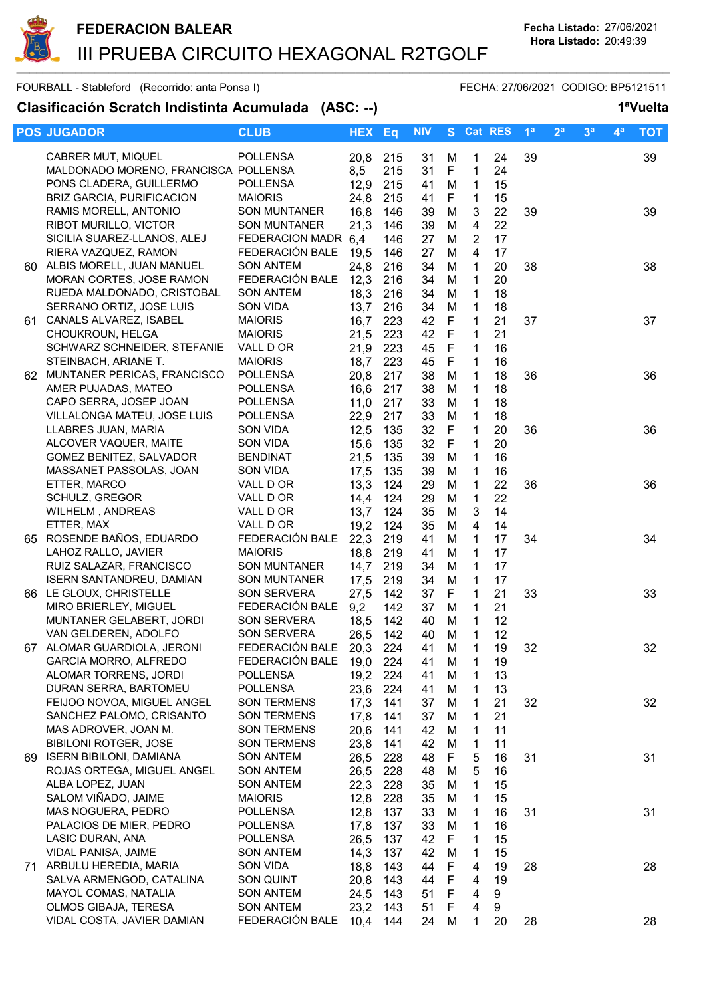

| <b>POS JUGADOR</b>                                              | <b>CLUB</b>                                | <b>HEX</b>   | Eq         | <b>NIV</b> |        |                     | S Cat RES | 1 <sup>a</sup> | 2 <sup>a</sup> | 3 <sup>a</sup> | $4^a$ | <b>TOT</b> |
|-----------------------------------------------------------------|--------------------------------------------|--------------|------------|------------|--------|---------------------|-----------|----------------|----------------|----------------|-------|------------|
|                                                                 |                                            |              |            |            |        |                     |           |                |                |                |       |            |
| CABRER MUT, MIQUEL                                              | <b>POLLENSA</b>                            | 20,8         | 215        | 31         | M      | 1                   | 24        | 39             |                |                |       | 39         |
| MALDONADO MORENO, FRANCISCA POLLENSA<br>PONS CLADERA, GUILLERMO | <b>POLLENSA</b>                            | 8,5          | 215        | 31         | F      | $\mathbf{1}$        | 24        |                |                |                |       |            |
|                                                                 | <b>MAIORIS</b>                             | 12,9         | 215        | 41         | M      | $\mathbf{1}$        | 15        |                |                |                |       |            |
| <b>BRIZ GARCIA, PURIFICACION</b>                                |                                            | 24,8         | 215        | 41         | F      | $\mathbf{1}$        | 15        |                |                |                |       |            |
| RAMIS MORELL, ANTONIO<br>RIBOT MURILLO, VICTOR                  | <b>SON MUNTANER</b><br><b>SON MUNTANER</b> | 16,8         | 146        | 39         | M      | 3                   | 22        | 39             |                |                |       | 39         |
| SICILIA SUAREZ-LLANOS, ALEJ                                     | FEDERACION MADR 6,4                        | 21,3         | 146        | 39         | M<br>M | 4<br>$\overline{2}$ | 22<br>17  |                |                |                |       |            |
| RIERA VAZQUEZ, RAMON                                            | FEDERACIÓN BALE                            |              | 146        | 27         | M      | 4                   | 17        |                |                |                |       |            |
| 60 ALBIS MORELL, JUAN MANUEL                                    | <b>SON ANTEM</b>                           | 19,5<br>24,8 | 146<br>216 | 27<br>34   | M      | 1                   | 20        | 38             |                |                |       | 38         |
| MORAN CORTES, JOSE RAMON                                        | FEDERACIÓN BALE                            | 12,3         | 216        | 34         | M      | 1                   | 20        |                |                |                |       |            |
| RUEDA MALDONADO, CRISTOBAL                                      | <b>SON ANTEM</b>                           | 18,3         | 216        | 34         | M      | 1                   | 18        |                |                |                |       |            |
| SERRANO ORTIZ, JOSE LUIS                                        | <b>SON VIDA</b>                            | 13,7         | 216        | 34         | M      | $\mathbf{1}$        | 18        |                |                |                |       |            |
| 61 CANALS ALVAREZ, ISABEL                                       | <b>MAIORIS</b>                             | 16,7         | 223        | 42         | F      | $\mathbf{1}$        | 21        | 37             |                |                |       | 37         |
| CHOUKROUN, HELGA                                                | <b>MAIORIS</b>                             | 21,5         | 223        | 42         | F      | 1                   | 21        |                |                |                |       |            |
| SCHWARZ SCHNEIDER, STEFANIE                                     | VALL D OR                                  | 21,9         | 223        | 45         | F      | $\mathbf{1}$        | 16        |                |                |                |       |            |
| STEINBACH, ARIANE T.                                            | <b>MAIORIS</b>                             | 18,7         | 223        | 45         | F      | $\mathbf{1}$        | 16        |                |                |                |       |            |
| 62 MUNTANER PERICAS, FRANCISCO                                  | <b>POLLENSA</b>                            | 20,8         | 217        | 38         | M      | 1                   | 18        | 36             |                |                |       | 36         |
| AMER PUJADAS, MATEO                                             | <b>POLLENSA</b>                            | 16,6         | 217        | 38         | M      | 1                   | 18        |                |                |                |       |            |
| CAPO SERRA, JOSEP JOAN                                          | <b>POLLENSA</b>                            | 11,0         | 217        | 33         | M      | 1                   | 18        |                |                |                |       |            |
| VILLALONGA MATEU, JOSE LUIS                                     | <b>POLLENSA</b>                            | 22,9         | 217        | 33         | M      | 1                   | 18        |                |                |                |       |            |
| LLABRES JUAN, MARIA                                             | SON VIDA                                   | 12,5         | 135        | 32         | F      | 1                   | 20        | 36             |                |                |       | 36         |
| ALCOVER VAQUER, MAITE                                           | SON VIDA                                   | 15,6         | 135        | 32         | F      | 1                   | 20        |                |                |                |       |            |
| GOMEZ BENITEZ, SALVADOR                                         | <b>BENDINAT</b>                            | 21,5         | 135        | 39         | M      | 1                   | 16        |                |                |                |       |            |
| MASSANET PASSOLAS, JOAN                                         | SON VIDA                                   | 17,5         | 135        | 39         | M      | 1                   | 16        |                |                |                |       |            |
| ETTER, MARCO                                                    | VALL D OR                                  | 13,3         | 124        | 29         | M      | 1                   | 22        | 36             |                |                |       | 36         |
| SCHULZ, GREGOR                                                  | VALL D OR                                  | 14,4         | 124        | 29         | M      | 1                   | 22        |                |                |                |       |            |
| WILHELM, ANDREAS                                                | VALL D OR                                  | 13,7         | 124        | 35         | M      | 3                   | 14        |                |                |                |       |            |
| ETTER, MAX                                                      | VALL D OR                                  | 19,2         | 124        | 35         | M      | 4                   | 14        |                |                |                |       |            |
| 65 ROSENDE BAÑOS, EDUARDO                                       | FEDERACIÓN BALE                            | 22,3         | 219        | 41         | M      | $\mathbf{1}$        | 17        | 34             |                |                |       | 34         |
| LAHOZ RALLO, JAVIER                                             | <b>MAIORIS</b>                             | 18,8         | 219        | 41         | M      | 1                   | 17        |                |                |                |       |            |
| RUIZ SALAZAR, FRANCISCO                                         | <b>SON MUNTANER</b>                        | 14,7         | 219        | 34         | M      | 1                   | 17        |                |                |                |       |            |
| <b>ISERN SANTANDREU, DAMIAN</b>                                 | <b>SON MUNTANER</b>                        | 17,5         | 219        | 34         | M      | 1                   | 17        |                |                |                |       |            |
| 66 LE GLOUX, CHRISTELLE                                         | <b>SON SERVERA</b>                         | 27,5         | 142        | 37         | F      | 1                   | 21        | 33             |                |                |       | 33         |
| MIRO BRIERLEY, MIGUEL                                           | FEDERACIÓN BALE                            | 9,2          | 142        | 37         | M      | 1                   | 21        |                |                |                |       |            |
| MUNTANER GELABERT, JORDI                                        | SON SERVERA                                | 18,5         | 142        | 40         | M      | $\mathbf{1}$        | 12        |                |                |                |       |            |
| VAN GELDEREN, ADOLFO                                            | SON SERVERA                                | 26,5         | 142        | 40         | M      | 1                   | 12        |                |                |                |       |            |
| 67 ALOMAR GUARDIOLA, JERONI                                     | FEDERACIÓN BALE                            | 20,3         | 224        | 41         | M      | $\mathbf{1}$        | 19        | 32             |                |                |       | 32         |
| GARCIA MORRO, ALFREDO                                           | FEDERACIÓN BALE                            | 19,0         | 224        | 41         | M      | 1                   | 19        |                |                |                |       |            |
| ALOMAR TORRENS, JORDI                                           | <b>POLLENSA</b>                            | 19,2         | 224        | 41         | M      | 1                   | 13        |                |                |                |       |            |
| DURAN SERRA, BARTOMEU                                           | <b>POLLENSA</b>                            | 23,6         | 224        | 41         | M      | 1                   | 13        |                |                |                |       |            |
| FEIJOO NOVOA, MIGUEL ANGEL                                      | <b>SON TERMENS</b>                         | 17,3         | 141        | 37         | M      | 1                   | 21        | 32             |                |                |       | 32         |
| SANCHEZ PALOMO, CRISANTO                                        | SON TERMENS                                | 17,8         | 141        | 37         | M      | 1                   | 21        |                |                |                |       |            |
| MAS ADROVER, JOAN M.                                            | <b>SON TERMENS</b>                         | 20,6         | 141        | 42         | м      | 1                   | 11        |                |                |                |       |            |
| <b>BIBILONI ROTGER, JOSE</b>                                    | <b>SON TERMENS</b>                         | 23,8         | 141        | 42         | M      | 1                   | 11        |                |                |                |       |            |
| 69 ISERN BIBILONI, DAMIANA                                      | <b>SON ANTEM</b>                           | 26,5         | 228        | 48         | F      | 5                   | 16        | 31             |                |                |       | 31         |
| ROJAS ORTEGA, MIGUEL ANGEL                                      | <b>SON ANTEM</b>                           | 26,5         | 228        | 48         | M      | 5                   | 16        |                |                |                |       |            |
| ALBA LOPEZ, JUAN<br>SALOM VIÑADO, JAIME                         | <b>SON ANTEM</b>                           | 22,3         | 228        | 35         | M      | 1                   | 15        |                |                |                |       |            |
|                                                                 | <b>MAIORIS</b>                             | 12,8         | 228        | 35         | M      | 1                   | 15        |                |                |                |       |            |
| MAS NOGUERA, PEDRO<br>PALACIOS DE MIER, PEDRO                   | <b>POLLENSA</b><br>POLLENSA                | 12,8         | 137<br>137 | 33<br>33   | M<br>M | 1<br>1              | 16<br>16  | 31             |                |                |       | 31         |
| LASIC DURAN, ANA                                                | <b>POLLENSA</b>                            | 17,8<br>26,5 | 137        | 42         | F      | 1                   | 15        |                |                |                |       |            |
| VIDAL PANISA, JAIME                                             | <b>SON ANTEM</b>                           | 14,3         |            | 42         |        |                     | 15        |                |                |                |       |            |
| 71 ARBULU HEREDIA, MARIA                                        | SON VIDA                                   | 18,8         | 137<br>143 | 44         | M<br>F | 1<br>4              | 19        | 28             |                |                |       | 28         |
| SALVA ARMENGOD, CATALINA                                        | SON QUINT                                  | 20,8         | 143        | 44         | F      | 4                   | 19        |                |                |                |       |            |
| MAYOL COMAS, NATALIA                                            | SON ANTEM                                  | 24,5         | 143        | 51         | F      | 4                   | 9         |                |                |                |       |            |
| OLMOS GIBAJA, TERESA                                            | <b>SON ANTEM</b>                           | 23,2         | 143        | 51         | F      | 4                   | 9         |                |                |                |       |            |
| VIDAL COSTA, JAVIER DAMIAN                                      | FEDERACIÓN BALE                            | 10,4         | 144        | 24         | M      | 1                   | 20        | 28             |                |                |       | 28         |
|                                                                 |                                            |              |            |            |        |                     |           |                |                |                |       |            |